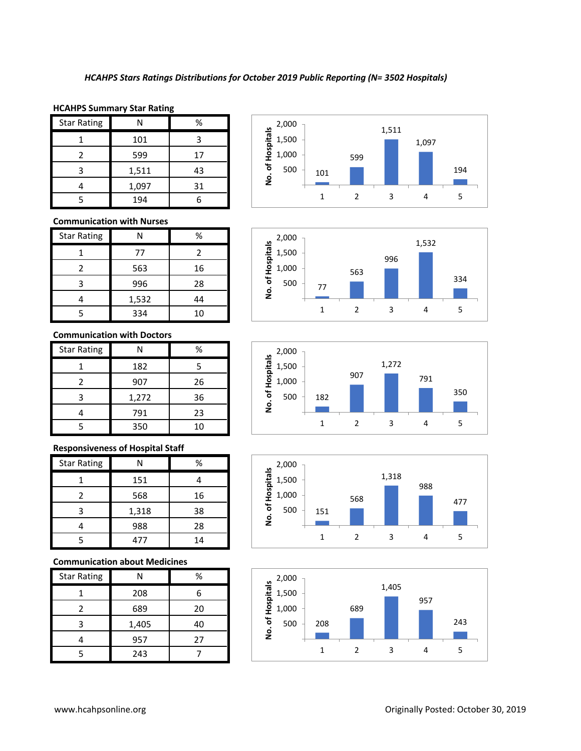#### **HCAHPS Summary Star Rating**

| <b>Star Rating</b> |       | %  |
|--------------------|-------|----|
|                    | 101   |    |
|                    | 599   | 17 |
| ੨                  | 1,511 | 43 |
|                    | 1,097 | 31 |
|                    | 194   |    |

# **Communication with Nurses**

| <b>Star Rating</b> | Ν     | %  |
|--------------------|-------|----|
|                    | 77    | 2  |
| 2                  | 563   | 16 |
| 3                  | 996   | 28 |
|                    | 1,532 | 44 |
|                    | 334   | 10 |

## **Communication with Doctors**

| <b>Star Rating</b> |       | ℅  |
|--------------------|-------|----|
|                    | 182   | 5  |
| 2                  | 907   | 26 |
| 3                  | 1,272 | 36 |
|                    | 791   | 23 |
|                    | 350   | 10 |

# **Responsiveness of Hospital Staff**

| <b>Star Rating</b> | N     | ℅  |
|--------------------|-------|----|
|                    | 151   |    |
| $\mathcal{P}$      | 568   | 16 |
| 3                  | 1,318 | 38 |
|                    | 988   | 28 |
|                    | 477   | 14 |

# **Communication about Medicines**

| <b>Star Rating</b> |       | %  |
|--------------------|-------|----|
|                    | 208   | 6  |
| 7                  | 689   | 20 |
| ੨                  | 1,405 | 40 |
|                    | 957   | 27 |
|                    | 243   |    |









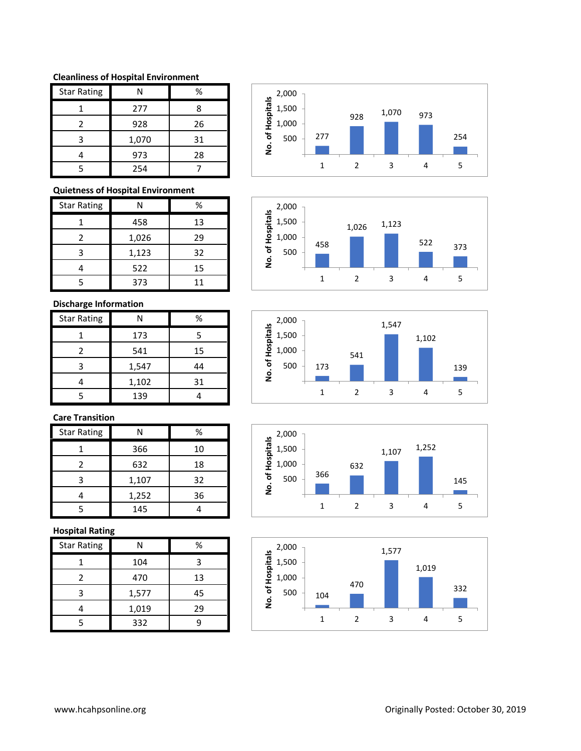### **Cleanliness of Hospital Environment**

| <b>Star Rating</b> | Ν     | %  |
|--------------------|-------|----|
|                    | 277   | 8  |
| $\mathcal{P}$      | 928   | 26 |
| 3                  | 1,070 | 31 |
|                    | 973   | 28 |
|                    | 254   |    |

# **Quietness of Hospital Environment**

| <b>Star Rating</b> | N     | ℅  |
|--------------------|-------|----|
|                    | 458   | 13 |
| $\mathfrak{p}$     | 1,026 | 29 |
| З                  | 1,123 | 32 |
|                    | 522   | 15 |
|                    | 373   | 11 |

# **Discharge Information**

| <b>Star Rating</b> |       | ℅  |
|--------------------|-------|----|
|                    | 173   | 5  |
| $\mathcal{P}$      | 541   | 15 |
| ੨                  | 1,547 | 44 |
|                    | 1,102 | 31 |
|                    | 139   |    |

# **Care Transition**

| <b>Star Rating</b> | N     | ℅  |
|--------------------|-------|----|
|                    | 366   | 10 |
| 2                  | 632   | 18 |
| ੨                  | 1,107 | 32 |
|                    | 1,252 | 36 |
|                    | 145   |    |

## **Hospital Rating**

| <b>Star Rating</b> | Ν     | %  |
|--------------------|-------|----|
|                    | 104   |    |
| 2                  | 470   | 13 |
| 3                  | 1,577 | 45 |
|                    | 1,019 | 29 |
|                    | 332   |    |